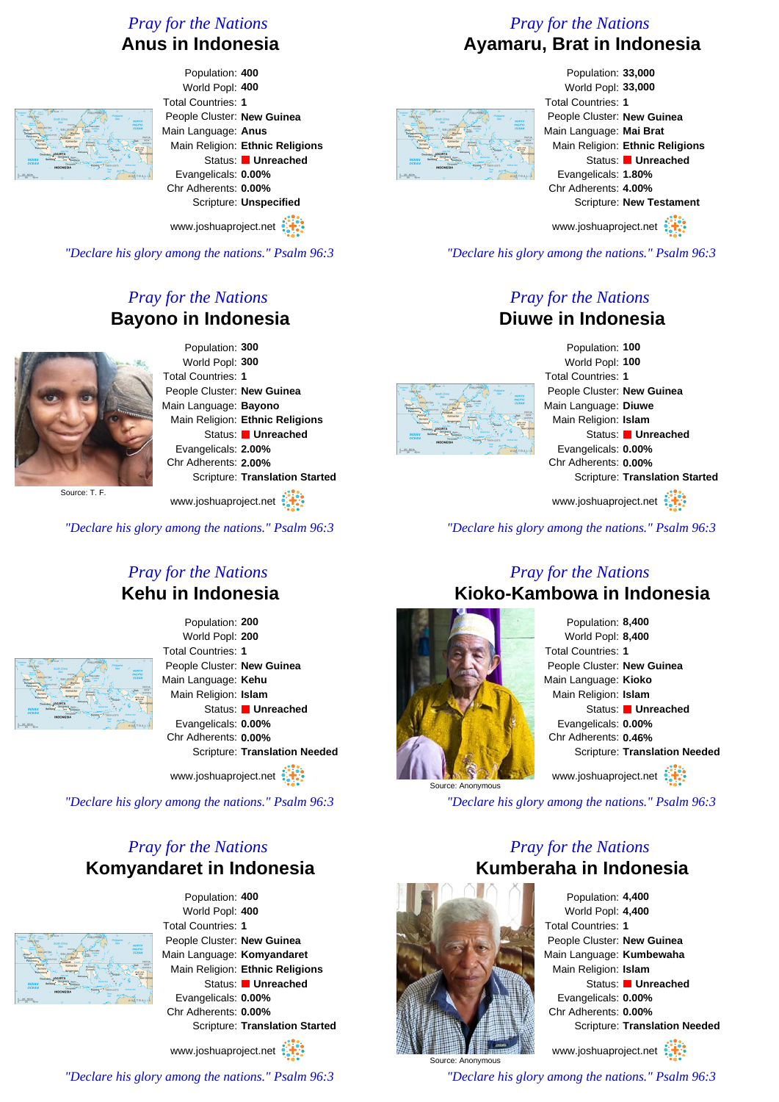#### *Pray for the Nations* **Anus in Indonesia**

## *Pray for the Nations* **Ayamaru, Brat in Indonesia**



Population: **400** World Popl: **400** People Cluster: **New Guinea** Main Language: **Anus** Main Religion: **Ethnic Religions** Status: **Unreached** Evangelicals: **0.00%** Chr Adherents: **0.00%** Scripture: **Unspecified**

www.joshuaproject.net

*"Declare his glory among the nations." Psalm 96:3*

# *Pray for the Nations* **Bayono in Indonesia**



Population: **300** World Popl: **300** Total Countries: **1** People Cluster: **New Guinea** Main Language: **Bayono** Main Religion: **Ethnic Religions** Status: **Unreached** Evangelicals: **2.00%** Chr Adherents: **2.00%** Scripture: **Translation Started**

Source: T. F.

www.joshuaproject.net :

*"Declare his glory among the nations." Psalm 96:3*

### *Pray for the Nations* **Kehu in Indonesia**



Population: **200** World Popl: **200** Total Countries: **1** People Cluster: **New Guinea** Main Language: **Kehu** Main Religion: **Islam** Status: **Unreached** Evangelicals: **0.00%** Chr Adherents: **0.00%** Scripture: **Translation Needed**

www.joshuaproject.net

*"Declare his glory among the nations." Psalm 96:3*

# *Pray for the Nations* **Komyandaret in Indonesia**



Population: **400** World Popl: **400** Total Countries: **1** People Cluster: **New Guinea** Main Language: **Komyandaret** Main Religion: **Ethnic Religions** Status: **Unreached** Evangelicals: **0.00%** Chr Adherents: **0.00%** Scripture: **Translation Started**

www.joshuaproject.net

*"Declare his glory among the nations." Psalm 96:3*



Population: **33,000** World Popl: **33,000** Total Countries: **1** People Cluster: **New Guinea** Main Language: **Mai Brat** Main Religion: **Ethnic Religions** Status: **Unreached** Evangelicals: **1.80%** Chr Adherents: **4.00%** Scripture: **New Testament** www.joshuaproject.net

*"Declare his glory among the nations." Psalm 96:3*

#### *Pray for the Nations* **Diuwe in Indonesia**



Population: **100** World Popl: **100** Total Countries: **1** People Cluster: **New Guinea** Main Language: **Diuwe** Main Religion: **Islam** Status: **Unreached** Evangelicals: **0.00%** Chr Adherents: **0.00%** Scripture: **Translation Started**

www.joshuaproject.net

*"Declare his glory among the nations." Psalm 96:3*

# *Pray for the Nations*

### **Kioko-Kambowa in Indonesia**



Population: **8,400** World Popl: **8,400** Total Countries: **1** People Cluster: **New Guinea** Main Language: **Kioko** Main Religion: **Islam** Status: **Unreached** Evangelicals: **0.00%** Chr Adherents: **0.46%** Scripture: **Translation Needed** www.joshuaproject.net

*"Declare his glory among the nations." Psalm 96:3*

## *Pray for the Nations* **Kumberaha in Indonesia**



Population: **4,400** World Popl: **4,400** Total Countries: **1** People Cluster: **New Guinea** Main Language: **Kumbewaha** Main Religion: **Islam** Status: **Unreached** Evangelicals: **0.00%** Chr Adherents: **0.00%** Scripture: **Translation Needed** www.joshuaproject.net

*"Declare his glory among the nations." Psalm 96:3*